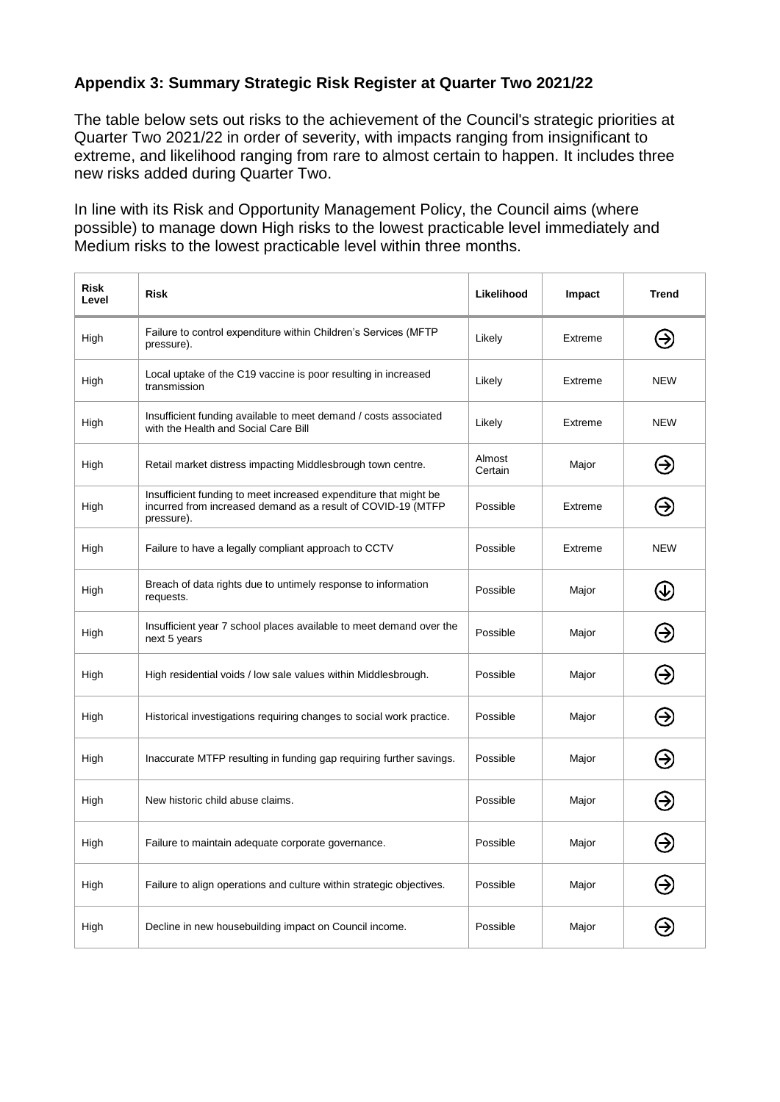## **Appendix 3: Summary Strategic Risk Register at Quarter Two 2021/22**

The table below sets out risks to the achievement of the Council's strategic priorities at Quarter Two 2021/22 in order of severity, with impacts ranging from insignificant to extreme, and likelihood ranging from rare to almost certain to happen. It includes three new risks added during Quarter Two.

In line with its Risk and Opportunity Management Policy, the Council aims (where possible) to manage down High risks to the lowest practicable level immediately and Medium risks to the lowest practicable level within three months.

| <b>Risk</b><br>Level | <b>Risk</b>                                                                                                                                    | Likelihood        | Impact  | <b>Trend</b>                   |
|----------------------|------------------------------------------------------------------------------------------------------------------------------------------------|-------------------|---------|--------------------------------|
| High                 | Failure to control expenditure within Children's Services (MFTP<br>pressure).                                                                  | Likely            | Extreme | ⊝                              |
| High                 | Local uptake of the C19 vaccine is poor resulting in increased<br>transmission                                                                 | Likely            | Extreme | <b>NEW</b>                     |
| High                 | Insufficient funding available to meet demand / costs associated<br>with the Health and Social Care Bill                                       | Likely            | Extreme | <b>NEW</b>                     |
| High                 | Retail market distress impacting Middlesbrough town centre.                                                                                    | Almost<br>Certain | Major   | ⊖                              |
| High                 | Insufficient funding to meet increased expenditure that might be<br>incurred from increased demand as a result of COVID-19 (MTFP<br>pressure). | Possible          | Extreme | ⊝                              |
| High                 | Failure to have a legally compliant approach to CCTV                                                                                           | Possible          | Extreme | <b>NEW</b>                     |
| High                 | Breach of data rights due to untimely response to information<br>requests.                                                                     | Possible          | Major   | $\left( \mathrm{\psi }\right)$ |
| High                 | Insufficient year 7 school places available to meet demand over the<br>next 5 years                                                            | Possible          | Major   | Э                              |
| High                 | High residential voids / low sale values within Middlesbrough.                                                                                 | Possible          | Major   | ⊖                              |
| High                 | Historical investigations requiring changes to social work practice.                                                                           | Possible          | Major   | ⊖                              |
| High                 | Inaccurate MTFP resulting in funding gap requiring further savings.                                                                            | Possible          | Major   | Э                              |
| High                 | New historic child abuse claims.                                                                                                               | Possible          | Major   | Э                              |
| High                 | Failure to maintain adequate corporate governance.                                                                                             | Possible          | Major   | ⊖                              |
| High                 | Failure to align operations and culture within strategic objectives.                                                                           | Possible          | Major   | Э                              |
| High                 | Decline in new housebuilding impact on Council income.                                                                                         | Possible          | Major   |                                |